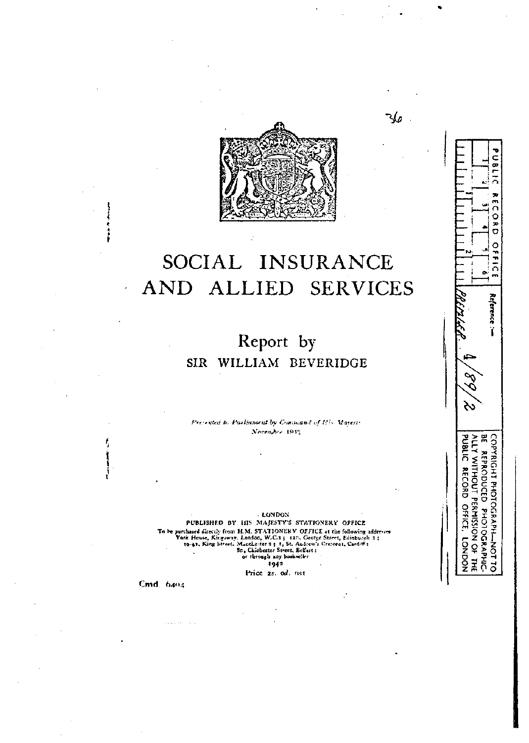

# SOCIAL INSURANCE AND ALLIED SERVICES

# Report by SIR WILLIAM BEVERIDGE

*Presented to Parlianvni by Command of Uls Majests NovrvM\*'* 191\*:

**LONDON PUBLISHED BV HIS MAJESTY'S STATIONERY' OFFICE** To be purchased directly from H.M. STATIONERY OFFICE at the following addr<br>
York House, Kingsway, London, W.C.2 4 125, George Street, Edinburgh 2 ;<br>
Yo-41, King Street, Manchester A ; 1, St. Andrew's Crescent, Cardiff :<br>
S **I942 Price** *2s. od.* **net**

Cmd. 6404

ŧ,

**rn m n O — O**F F I **nmr—-** ^ **— \*** Reference **Reference**Ï **:— | ^ n O -0 -< 73 0 -o > CP r- m r~ C CP r~ O X m n o 50 • 0 ° §0 ^ rn -0 C? X 0—f 0 0 -n**IC**-n** E **- —» ^£ 0 0 z oRAI OF r i 0 0 0 H X 0z**

**—** 1

**- 0 C**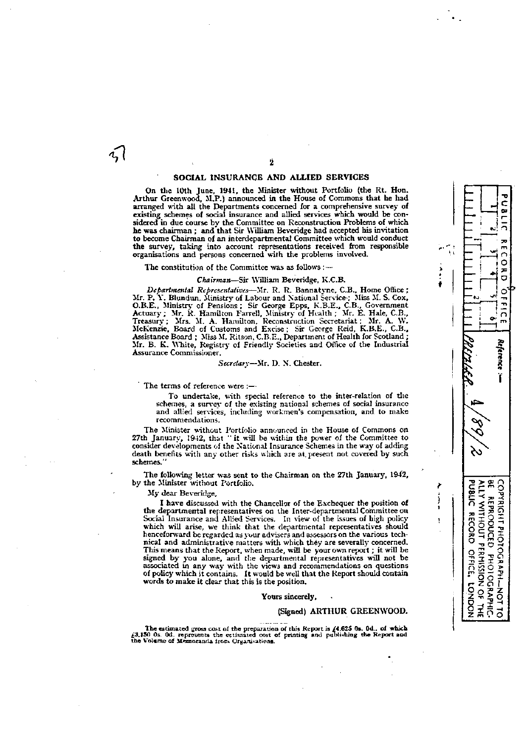$\widehat{\mathcal{E}}$ 

ij.

## **SOCIAL INSURANCE AND ALLIED SERVICES**

On the 10th June, 1941, the Minister without Portfolio (the Rt. Hon. Arthur Greenwood, M.P.) announced in the House of Commons that he had arranged with all the Departments concerned for a comprehensive survey of existing schemes of social insurance and allied services which would be considered in due course by the Committee on Reconstruction Problems of which he was chairman ; and that Sir William Beveridge had accepted his invitation to become Chairman of an interdepartmental Committee which would conduct **the** survey, taking into account representations received from responsible organisations and persons concerned with the problems involved.

#### The constitution of the Committee was as follows :-

## *Chairman*—Sir William Beveridge, K.C.B.

*Departmental Representatives*—Mr. R. R. Bannatyne, C.B., Home Office ; Mr. P. Y. Blundun, Ministry of Labour and National Service-; Miss M. S. Cox, O.B.E., Ministry of Pensions ; Sir George Epps, K.B.E., C.B., Government Actuary ; Mr. R. Hamilton Farrell, Ministry of Health ; Mr. E. Hale, C.B., Treasury ; Mrs. M. A. Hamilton, Reconstruction Secretariat; Mr. A. W. McKenzie, Board of Customs and Excise ; Sir George Reid, K.B.E., C.B., Assistance Board ; Miss M. Ritson, C.B.E., Department of Health for Scotland ; Mr. B. K. White, Registry of Friendly Societies and Office of the Industrial Assurance Commissioner.

#### *Secretary—*Mr. D. N. Chester.

#### The terms of reference were :—

To undertake, with special reference to the inter-relation of the schemes, a survey of the existing national schemes of social insurance and allied services, including workmen's compensation, and to make recommendations.

The Minister without Portfolio announced in the House of Commons on 27th January, 1942, that " it will be within the power of the Committee to consider developments of the National Insurance Schemes in the way of adding death benefits with any other risks which are at. present not covered by such schemes. '

The following letter was sent to the Chairman on the 27th January, 1942, by the Minister without Portfolio.

My dear Beveridge,

I have discussed with the Chancellor of the Exchequer the position of the departmental representatives on the Inter-departmental Committee on Social Insurance and Allied Services. In view of the issues of high policy which will arise, we think that the departmental representatives should henceforward be regarded as your advisers and assessors on the various technical and administrative matters with which they are severally concerned. This means that the Report, when made, will be your own report; it will be signed by you alone, and the departmental representatives will not be associated in any way with the views and recommendations on questions of policy which it contains. It would be well that the Report should contain words to make it clear that this is the position.

#### Yours sincerely,

## (Signed) ARTHUR GREENWOOD.

The estimated gross cost of the preparation of this Report is £4,625 0s. 0d., of which<br>£3,130 0s. 0d. represents the estimated cost of printing and publishing the Report and<br>the Volume of Memoranda from Organisations.

Ō Ō Ċ Ï  $\overline{\Omega}$ o.  $\blacksquare$ Reference **n Q REPRODUCED PHOTOGRAPHIC.** \*= **c 3 m O** OFFICE, LONDON gg <u>f</u>

ř Ì

÷

ິ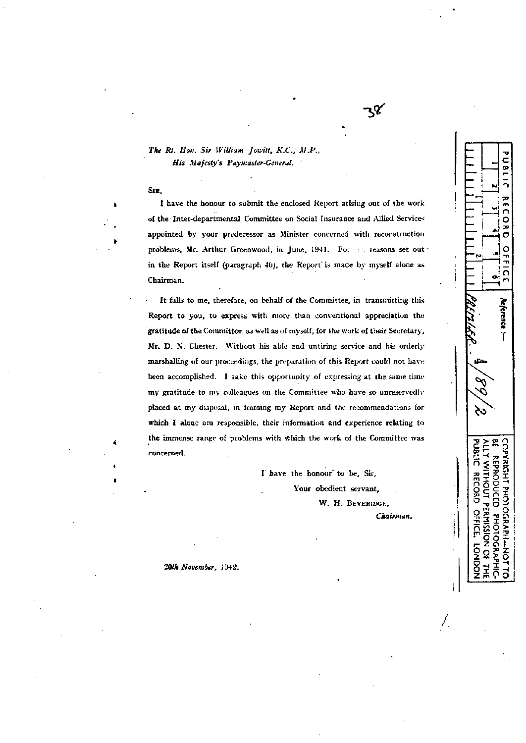**—**

**-u C cp rn**

**m n O ?? a**

**0 o m**

**Reftrtnc**

**1**

**—**

 $\,$ 

**"**

**i—**

**f ' ' 1 j I—1**

**C n** **> CP**

**n O**

**0 X • 0 0 H O 3D 1 > X :**

**Z^ 3<sup>s</sup> Og "^ rr m ~\* X & c 6 0 z c**

**^**

**m n O a 0 •-nn n f"**

**r-O 2**

**n z**

**-H X**

**2 O H O**

# *The Rt. Hon. Sir William Jowilt, K.C., M.P., His Majesty's Paymaster-General.*

**SIR,**

I have the honour to submit the enclosed Report arising out of the work of the Inter-departmental Committee on Social Insurance and Allied Services appointed by your predecessor as Minister concerned with reconstruction problems, Mr. Arthur Greenwood, in June, 1941. For the reasons set out in the Report itself (paragraph 40), the Report is made by myself alone as Chairman.

*It* falls to me, therefore, on behalf of the Committee, in transmitting this Report to you, to express with more than conventional appreciation the gratitude of the Committee, as well as of myself, for *the* work of their Secretary, Mr. D. N. Chester. Without his able and untiring service and his orderly marshalling of our proceedings, the preparation of this Report could not have been accomplished. I take this opportunity of expressing at the same time my gratitude to my colleagues on the Committee who have so unreservedly placed at my disposal, in framing my Report and the recommendations for which I alone am responsible, their information and experience relating to the immense range of problems with which the work of the Committee was concerned,

> I have the honour" to be, Sir, Your obedient servant, W. H. BEVERIDGE,

*Chairman.*

*ZOih November,* **1942.**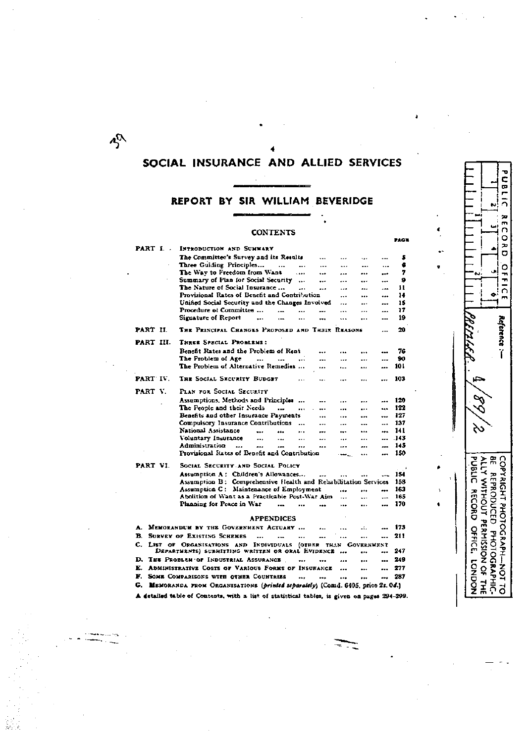# **SOCIAL INSURANCE AND ALLIED SERVICES**

 $\mathcal{A}_{\mathcal{O}}$ 

# **REPORT BY SIR WILLIAM BEVERIDGE**

## **CONTENTS**

**PART I. - INTRODUCTION AND SUMMARY The Committee's Survey and its Results .... ... ... ... 5**<br>**Three Guiding Principles... ... ... ... ... ... ... ... 6** Three Guiding Principles... ... ... ... ... ... ... **4**<br>The Way to Freedom from Want .... ... ... ... ... 7 The Way to Freedom from Want **1996 the Community of Planet Construction** for the Community of Planet Security (1,111, 1996) and the Community of the Community of the Community of the Community of the Community of the Commu **Summary of Plan for Social Security (1998)** 2012 11: 2012 2014 2014 2014 2015<br>The Nature of Social Insurance 11: 2014 2014 2014 2014 2014 2014 2014 **The Nature of Social Insurance 11 Provisional Rates of Benefit and Contribution ... ... ... 14**<br>Unified Social Security and the Changes Involved ... ... ... 15 **Unified Social Security and the Changes Involved 15 Procedure of Committee ... ... ... ... ... ... ... 17**<br>Signature of Report ... ... ... ... ... ... ... ... 19 **Signature of Report** 1.1 PART II. THE PRINCIPAL CHANGES PROPOSED AND TH3IR REASONS ... 20 **PART III. THREE SPECIAL PROBLEMS : BcneSt Rates and the Problem of Rent 76 The Problem of Age : 90** The Problem of Alternative Remedies ... ... ... ... ... ... PART IV. THE SOCIAL SECURITY BUDGET ... ... ... ... ... ... 103 **PART V. PLAN FOR SOCIAL SECURITY** Assumptions. Methods and Principles ... ... ... ... ... ... 120<br>The People and their Needs ... ... ... ... ... ... ... 122 **The People and their Needs** 122<br> **Benefits and other Insurance Payments** 122<br>
127 **Benefits and other Insurance Payments** ... ... ... ... ... 127<br>Compulsory Insurance Contributions ... ... ... ... ... 137 **Compulsory Insurance Contributions ... ... ... ... ... ... 137**<br>National Assistance ... ... ... ... ... ... ... ... 141 **National Assistance .... ... ... ... ... ... ... 141**<br>**Voluntary Insurance ...** ... ... ... ... ... ... ... ... 143 **Voluntary Insurance ... ... ... ... ... ... ... ,143** Administration ... ... ... ... ... ... ... ... 145<br>Provisional Rates of Benefit and Contribution .... ... 150 Provisional Rates of Benefit and Contribution **1992** 11 11 11 **PART VI. SOCIAL SECURITY AND SOCIAL POLICY Assumption A: Children's Allowances... ... ... ... ... ... 154**<br>Assumption B: Comprehensive Health and Rehabilitation Services 158 **Assumption B : Comprehensive Health and Rehabilitation Services 158 Assumption C: Maintenance of Employment ... ... ... 163** Assumption C: Maintenance of Employment 111, 111, 111, 1163<br>Abolition of Want as a Practicable Post-War Aim 11, 111, 111, 1165 Planning for Peace in War 11. 11. 11. 11. 11. 11. 11. 11. 11. 170 **APPENDICES A. Memorandum by the Government Actuary ...** ... ... ... ... ... 173<br>B. Survey of Existing Schemes ... ... ... ... ... ... ... ... 211 B. SURVEY OF EXISTING SCHEMES ... **...** ... ... ... ... ... **C. LIST OF ORGANISATIONS AND INDIVIDUALS (OTHER THAN GOVERNMENT DEPARTMENTS) SUBMITTING WRITTEN OR ORAL EVIDENCE 247 D. THE PROBLEM OF INDUSTRIAL ASSURANCE** ... ... ... ... ... ... 249<br>**E. ADMINISTRATIVE COSTS OF VARIOUS FORMS OF INSURANCE** ... ... ... 277 **E. ADMINISTRATIVE COSTS OF VARIOUS FORMS OF INSURANCE ... ... ... 277**<br>**F. SOMR COMPARISONS WITH OTHER COUNTRIES** ... ... ... ... ... 287 **F. SOME COMPARISONS WITH OTHER COUNTRIES .. . .. . .. . .. . .. . 287 G. MEMORANDA FROM ORGANISATIONS** *{printed separately)* **(Comd. 6405, price** *2s. Od.)*

**A detailed table of Contents, with a list of statistical tables, is given on pages 294-299.**

 **c CD f —** Ы **n** Ð **m —** C<br>s¤ **\_**  ō **—**  $\frac{1}{n}$ ů. **^^ n o m <sup>1</sup>—1 - 1 Me/en I ^ > 03 I- rn O O -o** مانات **< ^ TO m 8 X 2 c -o ""\* m O Om O OFFi x z d z 15 «2 o o z o • O zDON!** n**!?** <u>o l</u>

**PAG\***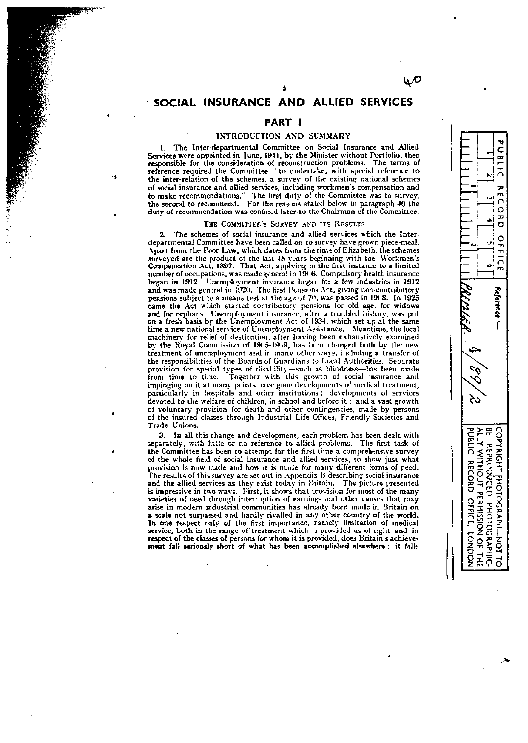# **SOCIAL INSURANCE AND ALLIED SERVICES**

## **PART I**

#### INTRODUCTION AND SUMMARY

1. The Inter-departmental Committee on Social Insurance and Allied Services were appointed in June, 1941, by the Minister without Portfolio, then responsible for the consideration of reconstruction problems. The terms of reference required the Committee " to undertake, with special reference to the inter-relation of the schemes, a survey of the existing national schemes of social insurance and allied services, including workmen's compensation and to make recommendations." The first duty of the Committee was to survey, the second to recommend. For the reasons stated below in paragraph 40 the duty of recommendation was confined later to the Chairman of the Committee.

#### THE COMMITTEE'S SURVEY AND ITS RESULTS

2. The schemes of social insurance and allied services which the Interdepartmental Committee have been called on to survey have grown piece-meal. Apart from the Poor Law, which dates from the time of Elizabeth, the schemes surveyed are the product of the last 45 years beginning with the Workmen's Compensation Act, 1S97. That Act, applying in the first instance to a limited number of occupations, was made general in 1906. Compulsory health insurance began in 1912. Unemployment insurance began for a few industries in 1912 and was made general in 1920. The first Pensions Act, giving non-contributory pensions subject to a means test at the age of 70, was passed in 1908. In 1925 came the Act which started contributory pensions for old age, for widows and for orphans. Unemployment insurance, after a troubled history, was put on a fresh basis by the Unemployment Act of 1934, which set up at the same time a new national service of Unemployment Assistance. Meantime, the local machinery for relief of destitution, after having been exhaustively examined by the Royal Commission of 1905-1909, has been changed both by the new treatment of unemployment and in many other ways, including a transfer of the responsibilities of the Boards of Guardians to Local Authorities. Separate provision for special types of disability—such as blindness—has been made from time to time. Together with this growth of social insurance and impinging on it at many points have gone developments of medical treatment, particularly in hospitals and other institutions ; developments of services devoted to the welfare of children, in school and before it ; and a vast growth of voluntary provision for death and other contingencies, made by persons of the insured classes through Industrial Life Offices, Friendly Societies and Trade Unions.

3. In all this change and development, each problem has been dealt with separately, with little or no reference to allied problems. The first task of the Committee has been to attempt for the first time a comprehensive survey of the whole field of social insurance and allied services, to show just what provision is now made and how it is made for many different forms of need. The results of this survey are set out in Appendix 15 describing social insurance and the allied services as they exist today in Britain. The picture presented is impressive in two ways. First, it shows that provision for most of the many varieties of need through interruption of earnings and other causes that may arise in modern industrial communities has already been made in Britain on a scale not surpassed and hardly rivalled in any other country of the world. In one respect only of the first importance, namely limitation of medical service, both in the range of treatment which is provided as of right and in respect of the classes of persons for whom it is provided, does Britain's achievement fall seriously short of what has been accomplished elsewhere : it falls

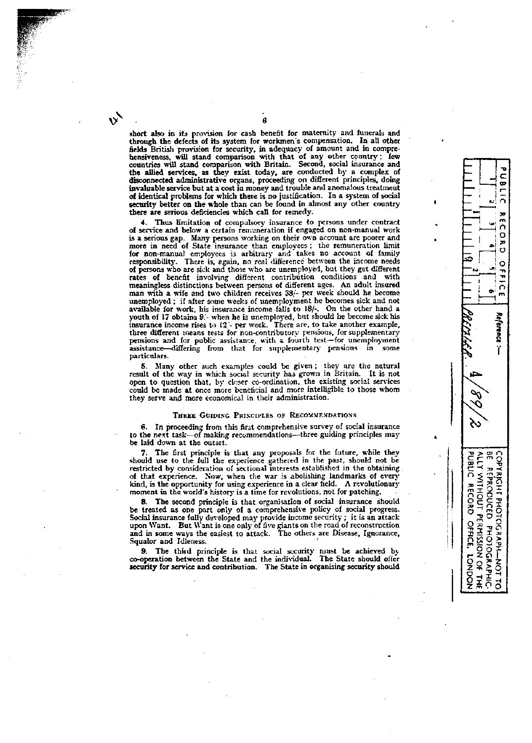short also in its provision for cash benefit for maternity and funerals and **through the defects of its system for workmen's compensation. In all other** fields British provision for security, in adequacy of amount and in compre**hensiveness , wil l stan d compariso n wit h tha t o f an y othe r countr y ; fe w countrie s wil l stan d compariso n wit h Britain . Second , socia l insuranc e an d th e allie d services , a s the y exis t today , ar e conducte d b y a comple x o f disconnecte d administrativ e organs , proceedin g o n differen t principles , doin g invaluable service but at a cost in money and trouble and anomalous treatment of identical problems for which there is no justification. In a system of social** security better on the whole than can be found in almost any other country **ther e ar e seriou s deficiencie s whic h cal l fo r remedy .**

**4 . Thu s limitatio n o f compulsor y insuranc e t o person s unde r contrac t of service and below a certain remuneration if engaged on non-manual work is a serious gap. Many persons working on their own account are poorer and more in need of State insurance than employees ; the remuneration limit for non-manual employees is arbitrary and takes no account of family responsibility.** There is, again, no real difference between the income needs **of persons who are sick and those who are unemployed, but they get different rates of benefit involving different contribution conditions and with meaningles s distinction s betwee n person s o f differen t ages . A n adul t insure d man** with a wife and two children receives 33/- per week should he become **unemploye d ; i f afte r som e week s o f unemploymen t h e become s sic k an d no t availabl e fo r work , hi s insuranc e incom e fall s t o 18/- . O n th e othe r han d a youth of 17 obtains 9/- when he is unemployed, but should be become sick his insurance income rises to 12 - per week. There are, to take another example, thre e differen t mean s test s fo r non-contributor y pensions , fo r supplementar y pension s an d fo r publi c assistance , wit h a fourt h test—fo r unemploymen t**  $\mathbf{a}$  ssistance—differing from that for supplementary pensions in some **particulars .**

**5**. Many other such examples could be given; they are the natural **result of the way in which social security has grown in Britain. It is not open** to question that, by closer co-ordination, the existing social services **coul d b e mad e a t onc e mor e beneficia l an d mor e intelligibl e t o thos e who m the y serv e an d mor e economica l i n thei r administration .**

#### **THRE E GUIDIN G PRINCIPLE S O F RECOMMENDATION S**

**6.** In proceeding from this first comprehensive survey of social insurance **to the next task—of making recommendations—three guiding principles may b e lai d dow n a t th e outset .**

**7.** The first principle is that any proposals for the future, while they should use to the full the experience gathered in the past, should not be **restricted by consideration of sectional interests established in the obtaining . o f tha t experience . Now , whe n th e wa r i s abolishin g landmark s o f ever y kind , i s th e opportunit y fo r usin g experienc e i n a clea r field. A revolutionar y** moment in the world's history is a time for revolutions, not for patching.

**PUBLIC RECORD** 

 $\tilde{\Xi}$ 

**^3**

**- o r- Z isZ m**

**<**

**C3 O m Q**

Ċ œ

O Ō z Ò

Q 곢  $\cap$ ò m

Reference

Ó

**^> -< rn 79** *ro***o - o "•**

**m O °3X ?3 o > 8F**

<u>កិដ</u>

**8 .** The second principle is that organisation of social insurance should **b e treate d a s on e par t onl y o f a comprehensiv e polic y o f socia l progress . Socia l insuranc e full y develope d ma y provid e incom e securit y ; i t i s a n attac k upon Want.** But Want is one only of five giants on the road of reconstruction **an d i n som e way s th e easies t t o attack . Th e other s ar e Disease , Ignorance ,** Squalor and Idleness.

**9.** The third principle is that social security must be achieved by co-operation between the State and the individual. The State should offer **security** for service and contribution. The State in organising security should

A

**\ ?**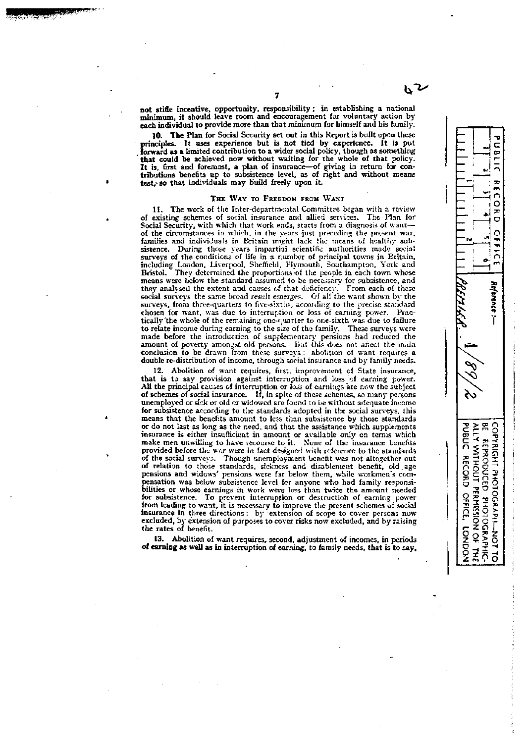**not** stifle incentive, opportunity, responsibility ; in establishing a national minimum, it should leave room and encouragement for voluntary action by each individual to provide more than that minimum for himself and his family.

10. The Plan for Social Security set out in this Report is built upon these principles. It uses experience but is not tied by experience. It is put forward as a limited contribution to a wider social policy, though as something that could be achieved now without waiting for the whole of that policy. It is, first and foremost, a plan of insurance—of giving in return for contributions benefits up to subsistence level, as of right and without means test, so that individuals may build freely upon it.

### THE WAY TO FREEDOM FROM WANT

11. The work of the Inter-departmental Committee began with a review of existing schemes of social insurance and allied services. The Plan for Social Security, with which that work ends, starts from a diagnosis of want of the circumstances in which, in the years just preceding the present war, families and individuals in Britain might lack the means of healthy subsistence. During those years impartial scientific authorities made social surveys of the conditions of life in a number of principal towns in Britain, including London, Liverpool, Sheffield, Plymouth, Southampton, York and Bristol. They determined the proportions of the people in each town whose means were below the standard assumed to be necessary for subsistence, and they analysed the extent and causes of that deficiency. From each of these social surveys the same broad result emerges. Of all the want shown by the surveys, from three-quarters to five-sixths, according to the precise standard chosen for want, was due to interruption or loss of earning power. Practically'the whole of the remaining one-quarter to one-sixth was due to failure to relate income during earning to the size of the family. These surveys were made before the introduction of supplementary pensions had reduced the amount of poverty amongst old persons. But this does not aflect the main conclusion to be drawn from these surveys : abolition of want requires a double re-distribution of income, through social insurance and by family needs.

12. Abolition of want requires, first, improvement of State insurance, that is to say provision against interruption and loss of earning power. All the principal causes of interruption or loss of earnings are now the subject of schemes of social insurance. If, in spite of these schemes, so many persons unemployed or sick or old or widowed are found to be without adequate income for subsistence according to the standards adopted in the social surveys, this means that the benefits amount to less than subsistence by those standards or do not last as long as the need, and that the assistance which supplements insurance is either insufficient in amount or available only en terms which make men unwilling to have recourse to it. None of the insurance benefits provided before the war were in fact designed with reference to the standards of the social surveys. Though unemployment benefit was not altogether out of relation to those standards, sickness and disablement benefit, old,age pensions and widows' pensions were far below them, while workmen's compensation was below subsistence level for anyone who had family responsibilities or. whose earnings in work were less than twice the amount needed for subsistence. To prevent interruption or destruction of earning power from leading to want, it is necessary to improve the present schemes of social insurance in three directions: by extension of scope to cover persons now excluded, by extension of purposes to cover risks now excluded, and by raising the rates of benefit.

13. Abolition of want requires, second, adjustment of incomes, in periods of earning as well as in interruption of earning, to family needs, that is to say,

⊼ ĥ. ÷ m  $\cap$ Ó z A  $\circ$ OFFICE o Reference Ï ALLY WITHOUT PERMISSION OF 吊 COPYRIGHT PHOTOGRAPH-NOT PUBLIC RECORD OFFICE, LONDON **REPRODUCED** PHOTOGRAPHIC-복 ನ

Ð C ne<br>C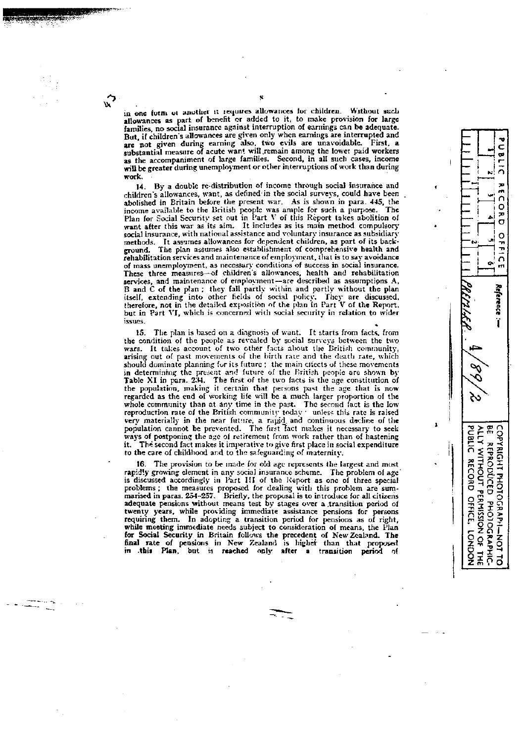in one form ui another it requires allowances for children. Without such allowances as part of benefit or added to it, to make provision for large families, no social insurance against interruption of earnings can be adequate. But, if children's allowances are given only when earnings are interrupted and are not given during earning also, two evils are unavoidable. First, a substantial measure of acute want will .remain among the lower paid workers as the accompaniment of large families. Second, in all such cases, income will be greater during unemployment or other interruptions of work than during work.

**—**

**CO f—**

C

**?» m n o rj**

**nm**

 $\frac{0}{1}$ Ĵ,

**3**

**T**

**—**

**• •' • •**

**— to**

**— \***

o,

۸

**^**

**> CP r- m**

**o O**

**RIGH1**

**O —• o o ?3**

**"t5 X 1 O**

<u>a l</u>

**C**<br>REPRODUCED<br>Y WITHOUT PER

**35 SO**

**o o z o**

**'HlC-1 THE**

**^ \***

**DBLIC RECORI** 

ı

**oOFFI**

**n m r-**

 $\frac{5}{2}$ 

14. By a double re-distribution of income through social insurance and children's allowances, want, as defined-in the social surveys, could have been abolished in Britain before the present war. As is shown in para. 445, the income available to the British people was ample for such a purpose. The income available to the British people was ample for such a purpose. The Plan for Social Security set out in Part V of this Report takes abolition of want after this war as its aim. It includes as its main method compulsory social insurance, with national assistance and voluntary insurance as subsidiary methods. It assumes allowances for dependent children, as part of its background. The plan assumes also establishment of comprehensive health and rehabilitation services and maintenance of employment, that is to say avoidance of mass unemployment, as necessary conditions of success in social insurance. These three measures—of children's allowances, health and rehabilitation services, and maintenance of employment—are described as assumptions A, B and C of the plan ; they fall partly within and partly without the plan itself, extending into other fields of social policy. They are discussed, therefore, not in the detailed exposition of the plan in Part V of the Report, but in Part VI, which is concerned with social security in relation to wider issues.

15. The plan is based on a diagnosis of want. It starts from facts, from the condition of the people as revealed by social surveys between the two wars. It takes account of two other facts about the British community, arising out of past movements of the birth rate and the death rate, which should dominate planning for its future ; the main effects of these movements in determining the present and future of the British people are shown by Table XI in para. *234.* The first of the two facts is the age constitution of the population, making-it certain that persons past the age that is now regarded as the end of working life will be a much larger proportion of the whole community than at any time in the past. The second fact is the low reproduction rate of the British community today : unless this rate is raised very materially in the near future, a rapid and continuous decline of the population cannot be prevented. The first 7act makes it necessary to seek ways of postponing the age of retirement from work rather than of hastening it. The second fact makes it imperative to give first place in social expenditure to the care of childhood and to the safeguarding of maternity.

The provision to be made for old age represents the largest and most rapidly growing element in any social insurance scheme. The problem of age is discussed accordingly in Part III of the Report as one of three special problems ; the measures proposed for dealing with this problem are summarised in paras. 254-257. Briefly, the proposal is to introduce for all citizens adequate pensions without means test by stages over a .transition period of twenty years, while providing immediate assistance pensions for persons requiring them. In adopting a transition period for pensions as of right, while meeting immediate needs subject to consideration of means, the Plan for Social Security in Britain follows the precedent of New Zealand. The final rate of pensions in New Zealand is higher than that proposed ithis Plan, but is reached only after a transition period of

k.

Ŵ.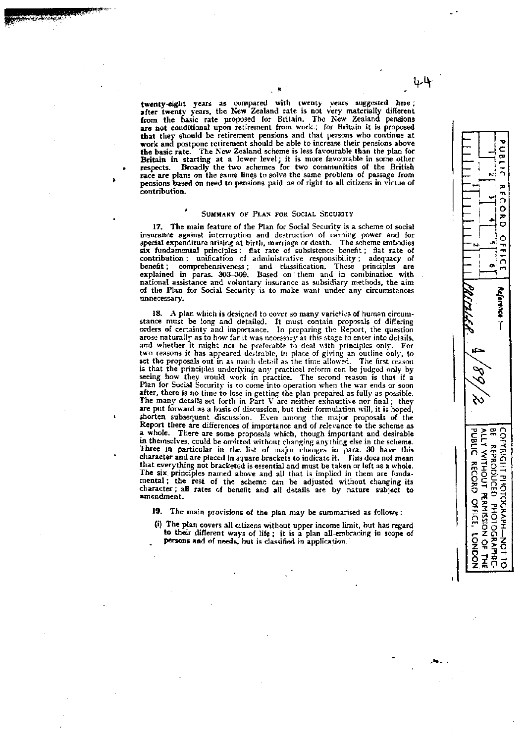twenty-eight years as compared with twenty years suggested heie ; after twenty years, the New Zealand rate is not very materially different from the basic rate proposed for Britain. The New Zealand pensions are not conditional upon retirement from work; for Britain it is proposed that they should be retirement pensions and that persons who continue at work and postpone retirement should be able to increase their pensions above the basic rate. The New Zealand scheme is less favourable than the plan for Britain in starting at a lower level; it is more favourable in some other respects. Broadly the two schemes for two communities of the British race are plans on the same lines to solve the same problem of passage from pensions based on need to pensions paid as of right to all citizens in virtue of contribution.

#### SUMMARY OF PLAN FOR SOCIAL SECURITY

٠

17. The main feature of the Plan for Social Security is a scheme of social insurance against interruption and destruction of earning power and for special expenditure arising at birth, marriage or death. The scheme embodies six fundamental principles : flat rate of subsistence benefit; flat rate of contribution; unification of administrative responsibility; adequacy of benefit; comprehensiveness; and classification. These principles are benefit; comprehensiveness; and classification. These principles are explained in paras. 303-309. Based on them and in combination with national assistance and voluntary insurance as subsidiary methods, the aim of the Plan for Social Security is to make want under any circumstances unnecessary.

18. A plan which is designed to cover so many varieties of human circumstance must be long and detailed. It must contain proposals of differing orders of certainty and importance. In preparing the Report, the question arose naturally as to how far it was necessary at this stage to enter into details, and whether it might not be preferable to deal with principles only. For two reasons it has appeared desirable, in place of giving an outline only, to set the proposals out in as much detail as the time allowed. The first reason is that the principles underlying any practical reform can be judged only by seeing how they would work in practice. The second reason is that if a Plan for Social Security is to come into operation when the war ends or soon after, there is no time to lose in getting the plan prepared as fully as possible. The many details set forth in Part V are neither exhaustive nor final ; they are put forward as a basis of discussion, but their formulation will, it is hoped, shorten subsequent discussion. Even among the major proposals of the Report there are differences of importance and of relevance to the scheme as a whole. There are some proposals which, though important and desirable in themselves, could be omitted without changing anything else in the scheme. Three *in* particular in the list of major changes in para. 30 have this character and are placed in square brackets to indicate it. This does not mean that everything not bracketed is essential and must be taken or left as a whole. The six principles named above and all that is implied in them are fundamental; the rest of the scheme can be adjusted without changing its character; all rates of benefit and all details arc by nature subject to amendment.

19. The main provisions of the plan may be summarised as follows :

(i) The plan covers all citizens without upper income limit, but has regard to their different ways of life ; it is a plan all-embracing in scope of persons and of needs, but is classified in application.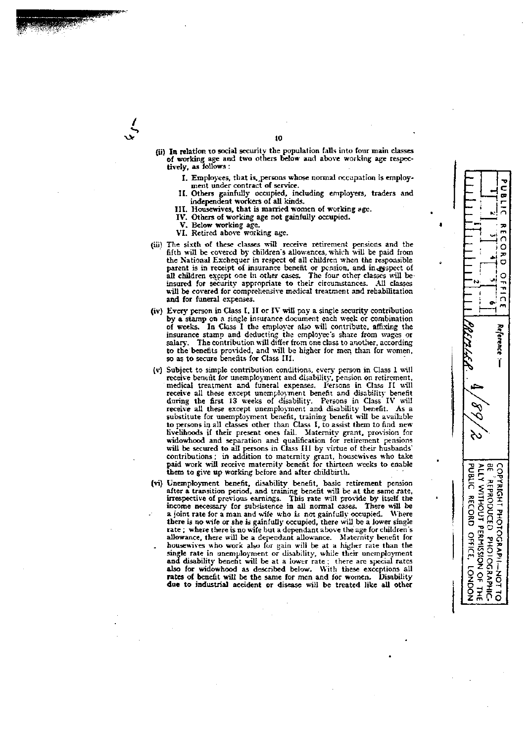(ii) In relation to social security the population falls into four main classes of working age and two others below and above working age respectively, as follows:

10

- I. Employees, that is, persons whose normal occupation is employment under contract of service.
- II. Others gainfully occupied, including employers, traders and independent workers of all kinds.

റ о z, Ф Ō 굮 ā ö m

Reference

ï

ALLY WITHOUT PERMISSION OF

부

COPYRIGHT PHOTOGRAPH-NOT REPRODUCED PHOTOGRAPHIC

PUBLIC RECORD OFFICE, LONDON

æ

- III. Housewives, that is married women of working age.
- IV. Others of working age not gainfully occupied.
- V. Below working age.
- VI. Retired above working age.
- (iii> The sixth of these classes will receive retirement pensions and the fifth will be covered by children's allowances, which will be paid from the National Exchequer in respect of all children when the responsible parent is in receipt of insurance benefit or pension, and in gespect of all children except one in other cases. The four other classes will beinsured for security appropriate to their circumstances. All classes will be covered for comprehensive medical treatment and rehabilitation and for funeral expenses.
- (iv) Every person in Class I, II or IV will pay a single security contribution by a stamp on a single insurance document each week or combination of weeks. In Class I the employer also will contribute, affixing the insurance stamp and deducting the employee's share from wages or salary. The contribution will differ from one class to another, according to the benefits provided, and will be higher for men than for women, so as to secure benefits for Class III.
- (v) Subject to simple contribution conditions, every person in Class 1 will receive benefit for unemployment and disability, pension on retirement, medical treatment and funeral expenses. Persons in Class II will receive all these except unemployment benefit and disability benefit during the first 13 weeks of disability. Persons in Class IV will receive all these except unemployment and disability benefit. As a substitute for unemployment benefit, training benefit will be available to persons in all classes other than Class I, to assist them to find new livelihoods if their present ones fail. Maternity grant, provision for widowhood and separation and qualification for retirement pensions will be secured to all persons in Class III by virtue of their husbands' contributions ; in addition to maternity grant, housewives who take paid work will receive maternity benefit for thirteen weeks to enable them to give up working before and after childbirth.
- (vi) Unemployment benefit, disability benefit, basic retirement pension after a transition period, and training benefit will be at the same rate, irrespective of previous earnings. This rate will provide by itself the income necessary for subsistence in all normal cases. There will be a joint rate for a man and wife who is not gainfully occupied. Where there is no wife or she is gainfully occupied, there will be a lower single rate ; where there is no wife but a dependant above the age for children's allowance, there will be a dependant allowance. Maternity benefit for housewives who work also for gain will be at a higher rate than the single rate in unemployment or disability, while their unemployment and disability benefit will be at a lower rate ; there are special rates also for widowhood as described below. With these exceptions all rates of benefit will be the same for men and for women. Disability due to industrial accident or disease will be treated like all other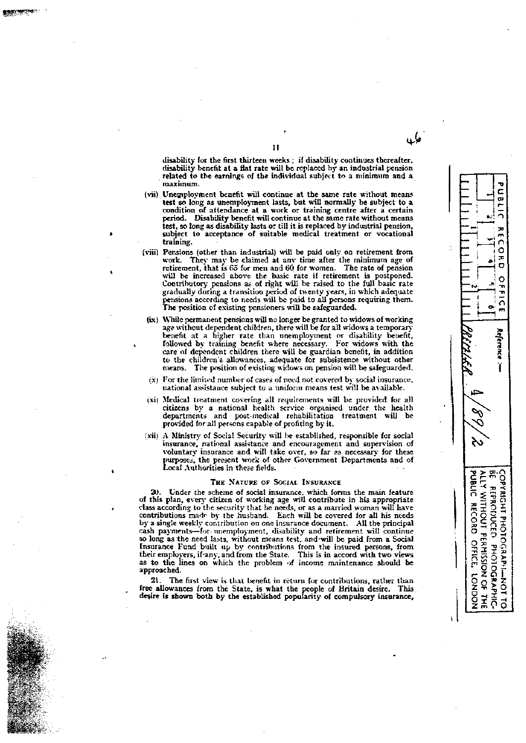**disability for the first thirteen weeks ; if disability continues thereafter, disability benefit at a flat rate will be replaced by an industrial pension related to the earnings of the individual subject to a minimum and a maximum.**

œ

О o o J. 곢  $\Omega$ ÷ m

Reference

COPYRIGHT

PHOTOGRAPH-NOT

**REPRODUCED** 

PHOTOGRAPHIC

ALLY WITHOUT PERMISSION OF

 $\vec{r}$ 

PUBLIC RECORD

OFFICE, LONDON

- **(vii) Unemployment benefit will continue at the same rate without means test so long as unemployment lasts, but will normally be subject to a condition of attendance at a work or training centre after a certain period. Disability benefit will continue at the same rate without means test, so long as disability lasts or till it is replaced by industrial pension, subject to acceptance of suitable medical treatment or vocational training.**
- **(viii) Pensions (other than industrial) will be paid only on retirement from work. They may be claimed at any time after the minimum age of retirement, that is** *65* **for men and 60 for women. The rate of pension will be increased above the basic rate if retirement is postponed. Contributory pensions as of right will be raised to the full basic rate gradually during a transition period of twenty years, in which adequate pensions according to needs will be paid to all persons requiring them. The position of existing pensioners will be safeguarded.**
- **(ix) While permanent pensions will no longer be granted to widows of working age without dependent children, there will be for all widows a temporary benefit at a higher rate than unemployment or disability benefit, followed by training benefit where necessary. For widows with the care of dependent children there will be guardian benefit, in addition to the children's allowances, adequate for subsistence without other means. The position of existing widows on pension will be safeguarded.**
- **(x) For the limited number of cases of need not covered by social insurance, national assistance subject to a uniform means test will be available.**
- *{x\)* **Medical treatment covering all requirements will be provided for ail citizens by a national health service organised under the health departments and post-medical rehabilitation treatment will be provided for all persons capable of profiting by it.**
- **(xii) A Ministry of Social Security will be established, responsible for social insurance, national assistance and encouragement and supervision of voluntary insurance and will take over, so far as necessary for these purposes, the present work of other Government Departments and of Local Authorities in these fields.**

#### **THE NATURE OF SOCIAL INSURANCE**

**20. Under the scheme of social insurance, which forms the main feature of this plan, every citizen of working age will contribute in his appropriate class according to the security that he needs, or as a married woman will have contributions made by the husband. Each will be covered for all his needs by a single weekly contribution on one insurance document. All the principal cash payments—for unemployment, disability and retirement will continue so long as the need lasts, without means test, and will be paid from a Social Insurance Fund built up by contributions from the insured persons, from their employers, if\*any, and from the State. This is in accord with two views as to the lines on which the problem of income maintenance should be approached.**

**21. The first view is that benefit in return for contributions, rather than free allowances from the State, is what the people of Britain desire. This desire** *is* **shown both by the established popularity of compulsory insurance,**

**It**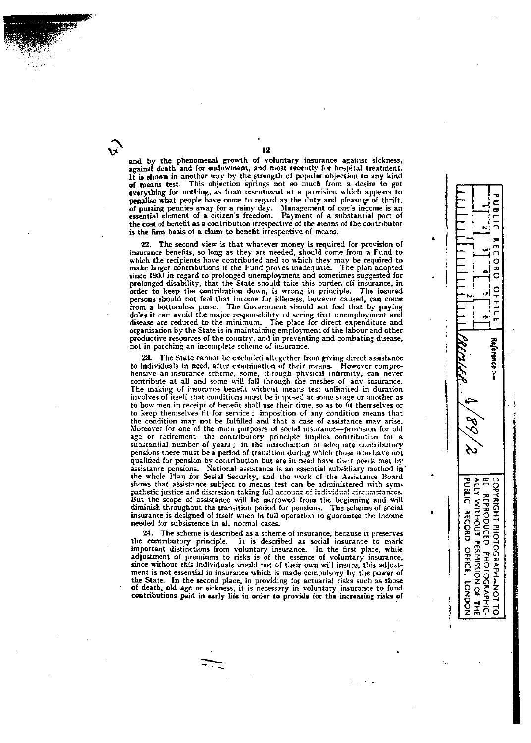and by the phenomenal growth of voluntary insurance against sickness, against death and for endowment, and most recently for hospital treatment. It is shown in another way by the strength of popular objection to any kind of means test. This objection springs not so much from a desire to get everything for nothing, as.from resentment at a provision which appears to penalise what people have come to regard as the duty and pleasure of thrift, of putting pennies away for a rainy day. Management of one's income is an of putting pennies away for a rainy day. essential element of a citizen's freedom. Payment of a substantial part of the cost of benefit as a contribution irrespective of the means of the contributor is the firm basis of a claim to benefit irrespective of means.

e<br>C

n  $\frac{0}{x}$ Ô  $\circ$ ÷<br>T O ò. m

Reference

ï

**PUBLIC** 

**RECORD** 

OFFICE,

**SOOD** 

BE REPRODUCED PHOTOGRAPHIC-<br>ALLY WITHOUT PERMISSION OF THE **COPYRIGHT PHOTOGRAPH-NOT** 

 $\vec{c}$ 

The second view is that whatever money is required for provision of insurance benefits, so long as they are needed, should come from a Fund to which the recipients have contributed and to which they may be required to make larger contributions if the Fund proves inadequate. The plan adopted since 1930 in regard to prolonged unemployment and sometimes suggested for prolonged disability, that the State should take this burden off insurance, in order to keep the contribution down, is wrong in principle. The insured persons should not feel that income for idleness, however caused, can come from a bottomless purse. The Government should not feel that by paying doles it can avoid the major responsibility of seeing that unemployment and disease are reduced to the minimum. The place for direct expenditure and organisation by the State is in maintaining employment of the labour and other productive resources of the country, and in preventing and combating disease, not in patching an incomplete scheme of insurance.

The State cannot be excluded altogether from giving direct assistance to individuals in need, after examination of their means. However comprehensive an insurance scheme, some, through physical infirmity, can never contribute at all and some will fall through the meshes of any insurance. The making of insurance benefit without means test unlimited in duration involves of itself that conditions must be imposed at some stage or another as to how men in receipt of benefit shall use their time, so as to fit themselves or to keep themselves fit for service ; imposition of any condition means that the condition may not be fulfilled and that a case of assistance may arise. Moreover for one of the main purposes of social insurance—provision for old age or retirement—the contributory principle implies contribution for a substantial number of years; in the introduction of adequate contributory pensions there must be a period of transition during which those who have not qualified for pension by contribution but are in need have their needs met by assistance pensions. National assistance is an essential subsidiary method in the whole Plan for Soeial Security, and the work of the Assistance Board shows that assistance subject to means test can be administered with sympathetic justice and discretion taking full account of individual circumstances. But the scope of assistance will be narrowed from the beginning and will diminish throughout the transition period for pensions. The scheme of social insurance is designed of itself when in full operation to guarantee the income needed for subsistence in all normal cases.

The scheme is described as a scheme of insurance, because it preserves the contributory principle. It is described as social insurance to mark important distinctions from voluntary insurance. In the first place, while adjustment of premiums to risks is of the essence of voluntary insurance, since without this individuals would not of their own will insure, this adjustment is not essential in insurance which is made compulsory by the power of the State. In the second place, in providing for actuarial risks such as those of death, old age or sickness, it is necessary in voluntary insurance to fund contributions paid in early life in order to provide for the increasing risks of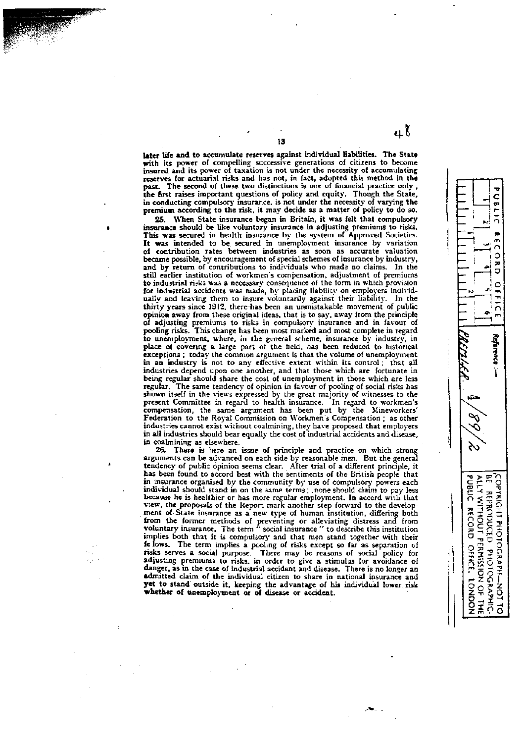later life and to accumulate reserves against individual liabilities. The State **with its power of compelling successive generations of citizens to become insured and its power of taxation is not under the necessity of accumulating reserves for actuarial risks and has not, in fact, adopted this method in the past. The second of these two distinctions is one of financial practice only ; the first raises important questions of policy and equity. Though the State, in conducting compulsory insurance, is not under the necessity of varying the premium according to the risk, it may decide as a matter of policy to do so.**

**25. When State insurance began in Britain, it was felt that compulsory insurance should be like voluntary insurance in adjusting premiums to risks. This was secured in health insurance by the system of Approved Societies. It was intended to be secured in unemployment insurance by variation of contribution rates between industries as soon as accurate valuation became possible, by encouragement of special schemes of insurance by industry, and by return of contributions to individuals who made no claims. In the still earlier institution of workmen's compensation, adjustment of premiums to industrial risks was a necessary consequence of the form in which provision for industrial accidents was made, by placing liability on employers individually and leaving them to insure voluntarily against their liability. In the thirty years since 1912, there has been an unmistakable movement of public opinion away from these original ideas, that is to say, away from the principle of adjusting premiums to risks in compulsory insurance and in favour of pooling risks. This change has been most marked and most complete in regard to unemployment, where, in the general scheme, insurance by industry, in place of covering a large part of the field, has been reduced to historical exceptions ; today the common argument is that the volume of unemployment in an industry is not to any effective extent within its control ; that all industries depend upon one another, and that those which are fortunate in being regular should share the cost of unemployment in those which are less regular. The same tendency of opinion in favour of pooling of social risks has shown itself in the views expressed by the great majority of witnesses to the present Committee in regard to health insurance. In regard to workmen's compensation, the same argument has been put by the Mineworkers' Federation to the Royal Commission on Workmen's Compensation ; as other industries cannot exist without coalmining, they have proposed that employers in all industries should bear equally the cost of industrial accidents and disease, in coalmining as elsewhere.**

**26. There is here an issue of principle and practice on which strong arguments can be advanced on each side by reasonable men. But the general tendency of public opinion seems clear. After trial of a different principle, it has been found to accord best with the sentiments of the British people that in insurance organised by the community by use of compulsory\* powers each individual should stand in on the same terms; .none should claim to pay less because he is healthier or has more regular employment. In accord with that view, the proposals of the Report mark another step forward to the development of State insurance as a new type of human institution, differing both from the former methods of preventing or alleviating distress and from voluntary insurance. The term " social insurance " to describe this institution implies both that it is compulsory and that men stand together with their fe lows. The term implies a pooling of risks except so far as separation of risks serves a social purpose. There may be reasons of social policy for adjusting premiums to risks, in order to give a stimulus for avoidance of danger, as in the case of industrial accident and disease. There is no longer an admitted claim of the individual citizen to share in national insurance and yet to stand outside it. keeping the advantage of hii individual lower risk whether of unemployment or of disease or accident.**

ul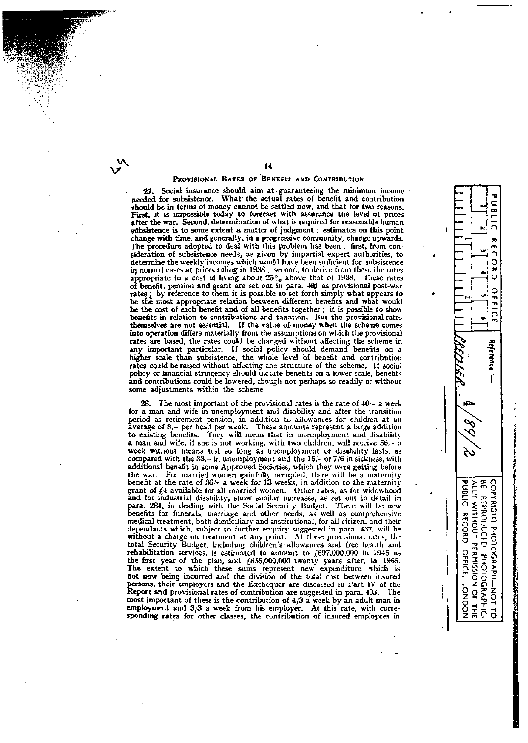#### PROVISIONAL RATES OF BENEFIT AND CONTRIBUTION

27. Social insurance should aim at guaranteeing the minimum income needed for subsistence. What the actual rates of benefit and contribution should be in terms of money cannot be settled now, and that for two reasons. First, it is impossible today to forecast with assurance the level of prices after the war. Second, determination of what is required for reasonable human subsistence is to some extent a matter of judgment; estimates on this point change with time, and generally, in a progressive community, change upwards. The procedure adopted to deal with this problem has been : first, from consideration of subsistence needs, as given by impartial expert authorities, to determine the weekly incomes which would have been sufficient for subsistence in normal cases at prices ruling in 193S ; second, to derive from these the rates appropriate to a cost of living about  $25\%$  above that of 1938. These rates of benefit, pension and grant are set out in para. 405 as provisional post-war rates; by reference to them it is possible to set forth simply what appears to be the most appropriate relation between different benefits and what would be the cost of each benefit and of all benefits together ; it is possible to show benefits in relation to contributions and taxation. But the provisional rates themselves are not essential. If the value of money when the scheme comes into operation differs materially from the assumptions on which the provisional rates are based, the rates could be changed without affecting the scheme in any important particular. If social policy should demand benefits on a higher scale than subsistence, the whole level of benefit and contribution rates could be raised without affecting the structure of the scheme. If social policy or financial stringency should dictate benefits on a lower scale, benefits and contributions could be lowered, though not perhaps so readily or without some adjustments within the scheme.

The most important of the provisional rates is the rate of  $40/-$  a week for a man and wife in unemployment and disability and after the transition period as retirement pension, in addition to allowances for children at an average of 8/- per head per week. These amounts represent a large addition to existing benefits. They will mean that in unemployment and disability a man and wife, if she is not working, with two children, will receive *56, -* a week without means test so long as unemployment or disability lasts, as compared with the  $33-$  in unemployment and the  $15-$  or  $7/6$  in sickness, with additional benefit in some Approved Societies, which they were getting before the war. For married women gainfully occupied, there will be a maternity benefit at the rate of 36/- a week for 13 weeks, in addition to the maternity grant of £4 available for all married women. Other rates, as for widowhood and for industrial disability, show similar increases, as set out in detail in para. 284, in dealing with the Social Security Budget. There will be new benefits for funerals, marriage and other needs, as well as comprehensive medical treatment, both domiciliary and institutional, for all citizens and their dependants which, subject to further enquiry suggested in para. 437, will be without a charge on treatment at any point. At these provisional rates, the total Security Budget, including children's allowances and free health and rehabilitation services, is estimated to amount to £697,000,000 in 1945 as the first year of the plan, and £S5S,000,000 twenty years after, in 1965. The extent to which these sums represent new expenditure which is not now being incurred and the division of the total cost between insured persons, their employers and the Exchequer are discussed in Part IV of the Report and provisional rates of contribution are suggested in para. 403. The most important of these is the contribution of  $4/3$  a week by an adult man in employment and 3/3 a week from his employer. At this rate, with corresponding rates for other classes, the contribution of insured employees in

化扩张器 医眼眼神经炎病化学

**x 14**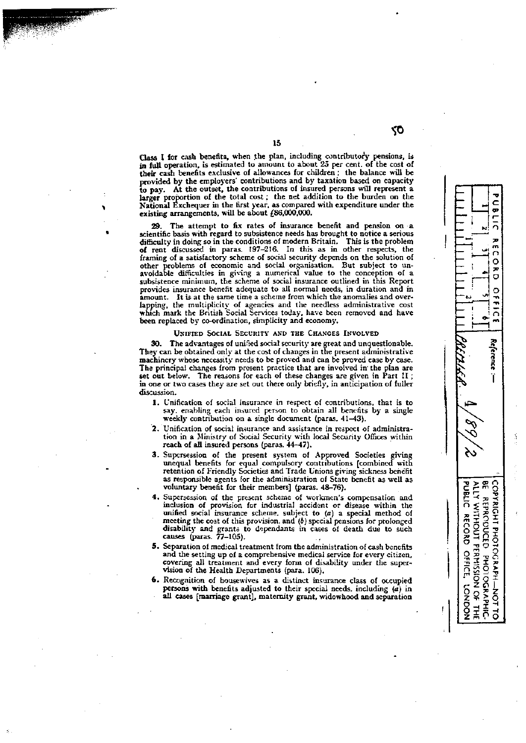**Class I for cash benefits, when the plan, including contributory pensions, is in full operation, is estimated to amount to about 25 per cent, of the cost of their cash benefits exclusive of allowances for children ; the balance will be provided by the employers' contributions and by taxation based on capacity to pav. At the outset, the contributions of insured persons will represent a larger proportion of the total cost; the net addition to the burden on the National Exchequer in the first year, as compared with expenditure under the existing arrangements, will be about £S6,000,000.**

**15**

**29. The attempt to fix rates of insurance benefit and pension on a scientific basis with regard to subsistence needs has brought to notice a serious difficulty in doing so in the conditions of modern Britain. This is the problem of rent discussed in paras. 197-216. In this as in other respects, the framing of a satisfactory scheme of social security depends on the solution of other problems of economic and social organisation. But subject to unavoidable difficulties in giving a numerical value to the conception of a subsistence minimum, the scheme of social insurance outlined in this Report provides insurance benefit adequate to all normal needs, in duration and in amount. It is at the same time a scheme from which the anomalies and overlapping, the multiplicity of agencies and the needless administrative cost which mark the British Social Services today, have been removed and have been replaced by co-ordination, simplicity and economy.**

#### **UNIFIED SOCIAL SECURITY AND THE CHANGES INVOLVED**

**30. The advantages of unified social security are great and unquestionable. They can be obtained only at the cost of changes in the present administrative machinery whose necessity needs to be proved and can be proved case by case. The principal changes from present practice that are involved in\* the plan are set out below. The reasons for each of these changes are given in Part II ; in one or two cases they are set out there only briefly, in anticipation of fuller discussion.**

- **1. Unification of social insurance in respect of contributions, that is to say. enabling each insured person to obtain all benefits by a single weekly contribution on a single document (paras. 41-43).**
- **2. Unification of social insurance and assistance in respect of administration in a Ministry of Social Security with local Security Offices within reach of all insured persons (paras. 44-47).**
- **3 . Supersession of the present system of Approved Societies giving unequal benefits for equal compulsory' contributions [combined with retention of Friendly Societies and Trade Unions giving sickness benefit as responsible agents for the administration of State benefit as well as voluntary benefit for their members] (paras. 48-76).**
- **4. Supersession of the present scheme of workmen's compensation and inclusion of provision for industrial accident or disease within the unified social insurance scheme, subject to** *(a)* **a special method of meeting the cost of this provision, and (6) special pensions for prolonged disability and grants to dependants in cases of death due to such causes (paras. 77-105).**
- **5. Separation of medical treatment from the administration of cash benefits and the setting up of a comprehensive medical service for every citizen, covering all treatment and every form of disability under the supervision of the Health Departments (para. 106).**
- **6. Recognition of housewives as a distinct insurance class of occupied persons with benefits adjusted to their special needs, including** *(a) in* **all cases [marriage grant], maternity grant, widowhood and separation**

**mmm —**

**—— —-**

**}——**

**w <**

**c CP r-**

**TO m n O o o -n i FIC E 1**

z.

ò

**— —**

ó

**"??\* 3 r\ a**

**— -—**

**—**

**<**

**^**

**c**

**> CP**

**n O -o**

ă

**79 a** • ^ \*

**-u O—4 o TO "73**

**Xz**

**o**

**Z^ 7 o ^ -73 —< £<sup>O</sup> ? "° t£ O**

**TO m n**

**o**

**RLLY WITHOUT PERMISSION OF** 

**o o z <n o ^° ^ %**

**m r-**

**Z**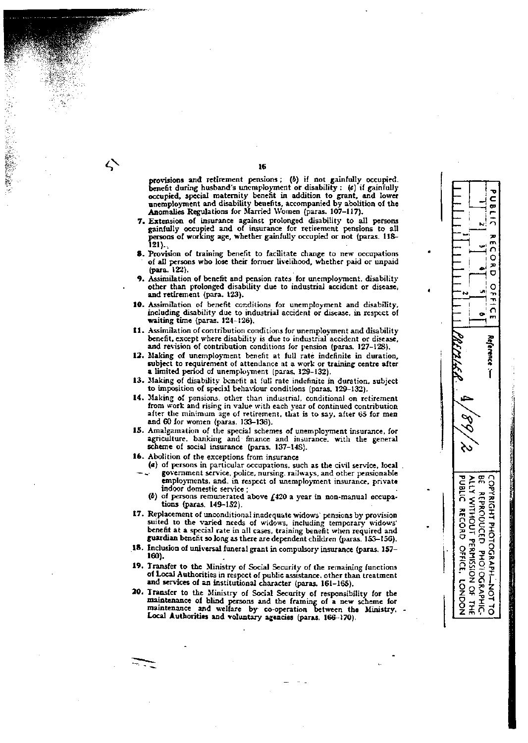**provisions and retirement pensions ;** *[b)* **if not gainfully occupied, benefit during husband's unemployment or disability ;** *(c)* **if gainfully occupied, special maternity benefit in addition to grant, and lower unemployment and disability benefits, accompanied by abolition of the Anomalies Regulations for Married Women (paras. 107-117).**

**16**

- **Extension of insurance against prolonged disability to all persons gainfully occupied and of insurance for retirement pensions to all persons of working age, whether gainfully occupied or not (paras. 118— 121)..**
- **8. Provision of training benefit to facilitate change to new occupations of all persons who lose their former livelihood, whether paid or unpaid (para. 122).**

Ó Ò Ō

Ò ó

Keference

ï

옦

**REPRODUCED** 

PHOTOGRAPHIC-

PUBLIC

RECORD OFFICE, LONDON

ALLY WITHOUT PERMISSION OF

 $\vec{x}$ 

**COPYRIGHT PHOTOGRAPH-NOT** 

อี

- **9. Assimilation of benefit and pension rates for unemployment, disability other than prolonged disability due to industrial accident or disease, and retirement (para. 123).**
- **10. Assimilation of benefit conditions for unemployment and disability, including disability due to industrial accident or disease, in respect of waiting time (paras. 124-126).**
- **11. Assimilation of contribution conditions for unemployment and disability benefit, except where disability is due to industrial accident or disease, and revision of contribution conditions for pension (paras. 127-128).**
- **12. Making of unemployment benefit at full rate indefinite in duration, subject to requirement of attendance at a work or training centre after a limited period of unemployment (paras. 129-132).**
- **13. Making of disability benefit at full rate indefinite in duration, subject to imposition of special behaviour conditions (paras. 129-132).**
- **14. Making of pensions, other than industrial, conditional on retirement from work and rising in value with each year of continued contribution after the minimum age of retirement, that** *is* **to say, after** *65* **for men and 60 for women (paras. 133-136).**
- **15. Amalgamation of the special schemes of unemployment insurance, for agriculture, banking and finance and insurance, with the general scheme of social insurance (paras. 137-14S).**
- **16. Abolition of the exceptions from insurance**

**\**

- *(a)* **of persons in particular occupations, such as the civil service, local government service, police, nursing, railways, and other pensionable employments, and, in respect of unemployment insurance, private**
	- **indoor domestic service ;** *{b)* **of persons remunerated above £420 a year in non-manual occupations (paras. 149-152).**
- **17. Replacement of unconditional inadequate widows pensions by provision suited to the varied needs of widows, including temporary widows' benefit at a special rate in all cases, training benefit when required and guardian benefit so long as there are dependent children (paras. 153-156).**
- **18. Inclusion of universal funeral grant in compulsory insurance (paras. 157- 160).**
- **19. Transfer to the Ministry of Social Security of the remaining functions of Local Authorities in respect of public assistance, other than treatment and services of an institutional character (paras. 161-165).**
- **20. Transfer to the Ministry of Social Security of responsibility for the maintenance of blind persons and the framing of a new scheme for maintenance and welfare by co-operation between the Ministry, Local Authorities and voluntary agencies (paras. 166-170).**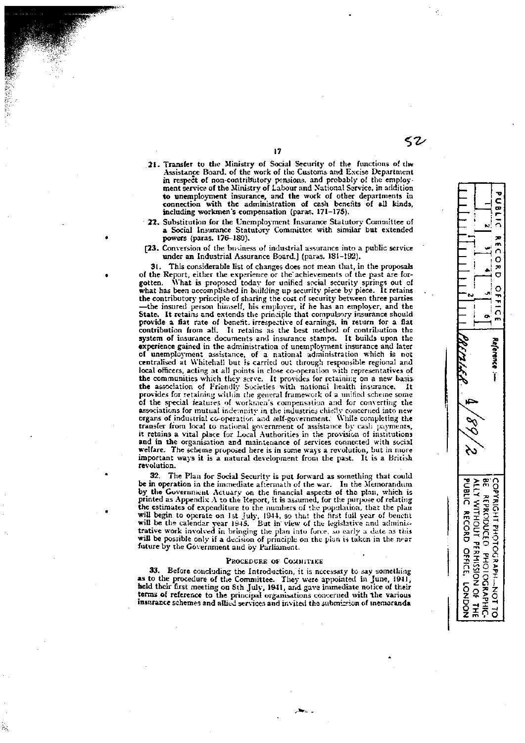21. Transfer to the Ministry of Social Security of the functions of the Assistance Board, of the work of the Customs and Excise Department in respect of non-contributory pensions, and probably of the employment service of the Ministry of Labour and National Service, in addition to unemployment insurance, and the work of other departments in connection with the administration of cash benefits of all kinds, including workmen's compensation (paras. 171-175).

**C**

O O æ Ō  $\circ$ ۳T<br>س  $\overline{\circ}$ o m

Reference

52

*-73* **CO n TO -i m X** **m Q** *73* **-< rn 73 ?o**

**CED PHC**<br>**CED PHC** 

**52 2\$ o I 5 z**

<u>គឺ∃</u><br>————————————————————

**• o r- Z is Z m**

- 22. Substitution for the Unemployment Insurance Statutory Committee of a Social Insurance Statutory Committee with similar but extended powers (paras. 176-1S0).
- [23. Conversion of the business of industrial assurance into a public service under an Industrial Assurance Board.] (paras. 181-192).

31. This considerable list of changes does not mean that, in the proposals of the Report, either the experience or the achievements of the past are forgotten. What is proposed todav for unified social security springs out of what has been accomplished in building up security piece by piece. It retains the contributory principle of sharing the cost of security between three parties —the insured person himself, his employer, if he has an employer, and the State. It retains and extends the principle that compulsory insurance should provide a flat rate of benefit, irrespective of earnings, in return for a flat contribution from all. It retains as the best method of contribution the system of insurance documents and insurance stamps. It builds upon the experience gained in the administration of unemployment insurance and later of unemployment assistance, of a national administration which is not centralised at Whitehall but is carried out through responsible regional and local officers, acting at all points in close co-operation with representatives of the communities which they serve. It provides for retaining on a new basis the association of Friendly Societies with national health insurance. It provides for retaining within the general framework of a unified scheme some of the special features of workmen's compensation and for converting the associations for mutual indemnity in the industries chiefly concerned into new organs of industrial co-operation and self-government: While completing the transfer from local to national government of assistance by cash payments, it retains a vital place for Local Authorities in the provision of institutions and in the organisation and maintenance of services connected with social welfare. The scheme proposed here is in some ways a revolution, but in more important ways it is a natural development from the past. It is a British revolution.

32. The Plan for Social Security is put forward as something that could be in operation in the immediate aftermath of the war. In the Memorandum by the Government Actuary on the financial aspects of *the* plan, which is printed as Appendix A to the Report, it is assumed, for the purpose of relating the estimates of expenditure to the numbers of the population, that the plan will begin to operate on 1st July, 1944, so that the first full year of benefit will be the calendar year 1945. But in view of the legislative and administrative work involved in bringing the plan into force, so early a date as this will be possible only if a decision of principle on the plan is taken in the near future by the Government and *by* Parliament.

#### PROCEDURE OF COMMITTEE

33. Before concluding the Introduction, it is necessary to say something as to the procedure of the Committee. They were appointed in June, 1941, held their first meeting on Sth July, 1941, and gave immediate notice of their terms of reference to the principal organisations concerned with the various insurance schemes and allied services and invited the submicsion of memoranda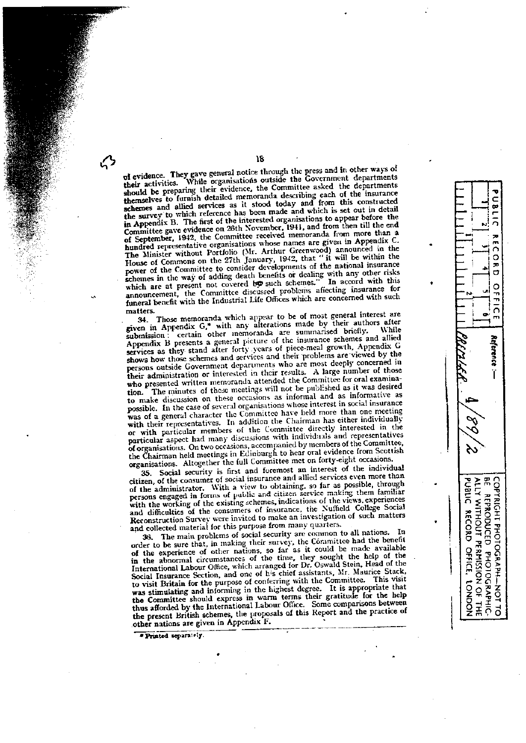of evidence. They gave general notice through the press and in other ways of of evidence. They while organisations outside the Government departments should be preparing their evidence, the Committee asked the departments themselves to furnish detailed memoranda describing each of the insurance schemes and allied services as it stood today and from this constructed the survey to which reference has been made and which is set out in detail in Appendix B. The first of the interested organisations to appear before the Committee gave evidence on 26th November, 1941, and from then till the end of September, 1942, the Committee received memoranda from more than a hundred representative organisations whose names are given in Appendix C. The Minister without Portfolio (Mr. Arthur Greenwood) announced in the House of Commons on the 27th January, 1942, that " it will be within the power of the Committee to consider developments of the national insurance schemes in the way of adding death benefits or dealing with any other risks which are at present not covered  $b\phi$  such schemes." In accord with this announcement, the Committee discussed problems affecting insurance for funeral benefit with the Industrial Life Offices which are concerned with such matters.

**—**

**—**

**—**

**V \* \*** Ml 1 • ' < **c CP r~ O**

**nO R D**

**OFFI C ' m**

**strtnct**

I

**—**

**—**

**1 u \**

ō

**^s**

**V**

**c o** **> CP n r- rr**

 **O 3 -RIGH <**

**1 EPR O**

**1**

**WITHOUT** 

 **c - H^ r °n 5<sup>O</sup>**  $\frac{\pi}{2}$   $\frac{\pi}{2}$ **3 Ci I\* X ?3 ISS** o o f **z 0 1**

**3H1 OIH cOil**

**TO m n o 79**

**0 -n -n n**

**m r" O**

**NOCK j**

34. Those memoranda which appear to be of most general interest are given in Appendix G,\* with any alterations made by their authors after submission: certain other memoranda are summarised briefly. While Appendix B presents a general picture of the insurance schemes and amed services as they stand after forty years of piece-meal growth, Appendix G shows how those schemes and services and their problems are viewed by the persons outside Government departments who are most deeply concerned in their administration or interested in their results. A large number of those who presented written memoranda attended the Committee for oral examina-The minutes of these meetings will not be published as it was desired to make discussion on these occasions as informal and as informative as possible. In the case of several organisations whose interest in social insurance was of a general character the Committee have held more than one meeting with their representatives. In addition the Chairman has either individually or with particular members of the Committee directly interested in the particular aspect had many discussions with individuals and representatives of organisations. On two occasions, accompanied by members of the Committee, the Chairman held meetings in Edinburgh to hear oral evidence from Scottish organisations. Altogether the full Committee met on forty-eight occasions.

35. Social security is first and foremost an interest of the individual citizen, of the consumer of social insurance and allied services even more than of the administrator. With a view to obtaining, so far as possible, through persons engaged in forms of public and citizen service making them familiar with the working of the existing schemes, indications of the views, experiences and difficulties of the consumers of insurance, the Nuffield College Social Reconstruction Survey were invited to make an investigation of such matters and collected material for this purpose from many quarters.

36. The main problems of social security are common to all nations. In order to be sure that, in making their survey, the Committee had the benefit of the experience of other nations, so far as it could be made available in the abnormal circumstances of the time, they sought the help of the International Labour Office, which arranged for Dr. Oswald Stein, Head of the Social Insurance Section, and one of his chief assistants, Mr. Maurice Stack, to visit Britain for the purpose of conferring with the Committee. This visit was stimulating and informing in the highest degree. It is appropriate that the Committee should express in warm terms their gratitude for the help thus afforded by the International Labour Office. Some comparisons between the present British schemes, the proposals of this Report and the practice of other nations are given in Appendix F.

•Printed separately.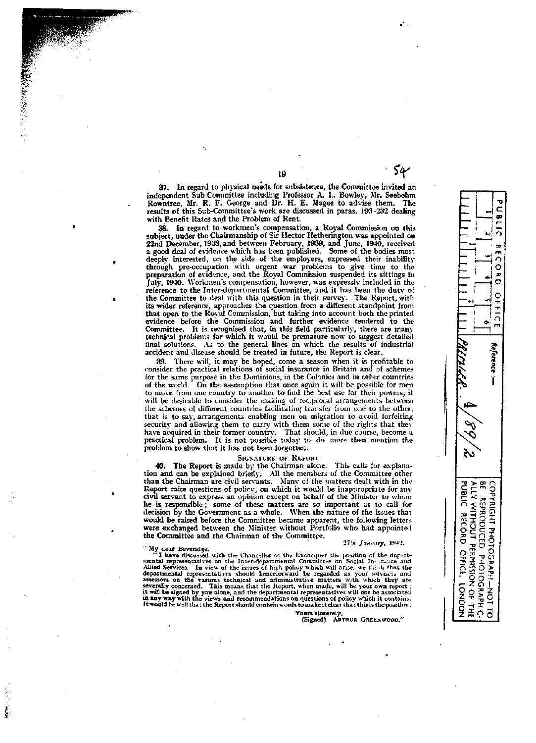37. In regard to physical needs for subsistence, the Committee invited an independen t Sub-Committe e includin g Professor A . L . Bowley , Mr . Seebohm Rowntree, Mr. R. F. George and Dr. H. E. Magee to advise them. The results of this Sub-Committee's work are discussed in paras. 193-232 dealing with Benefit Rates and the Problem of Rent.

19

38. In regard to workmen's compensation, a Royal Commission on this subject, under the Chairmanship of Sir Hector Hetherington was appointed on 22n d December , 1938 , an d betwee n February , 1939 , an d June , 1940 , receive d a good deal of evidence which has been published. Some of the bodies most deeply interested, on the side of the employers, expressed their inability through pre-occupation with urgent war problems to give time to the preparation of evidence, and the Royal Commission suspended its sittings in July, 1940. Workmen's compensation, however, was expressly included in the reference to the Inter-departmental Committee, and it has been the duty of the Committee to deal with this question in their survey. The Report, with its wider reference, approaches the question from a different standpoint from that open to the Royal Commission, but taking into account both the printed evidence before the Commission and further evidence tendered to the Committee. It is recognised that, in this field particularly, there are many technica l problem s for whic h i t woul d b e prematur e no w t o sugges t detaile d final solutions. As to the general lines on which the results of industrial accident and disease should be treated in future, the Report is clear.

39 . There will, it may be hoped, come a season when it is profitable to consider the practical relations of social insurance in Britain and of schemes for the same purpose in the Dominions, in the Colonies and in other countries of the world. On the assumption that once again it will be possible for men t o mov e from on e countr y t o anothe r t o find th e bes t us e for thei r powers , i t will be desirable to consider the making of reciprocal arrangements between the schemes of different countries facilitating transfer from one to the other, that is to say, arrangements enabling men on migration to avoid forfeiting security and allowing them to carry with them some of the rights that they have acquired in their former country. That should, in due course, become a practical problem. It is not possible today to do more then mention the problem to show that it has not been forgotten.

## Signature of Report

40. The Report is made by the Chairman alone. This calls for explanation and can be explained briefly. All the members of the Committee other than the Chairman are civil servants. Many of the matters dealt with in the Report raise questions of policy, on which it would be inappropriate for any civi l servan t t o expres s a n opinio n excep t o n behal f of th e Minister t o whom he is responsible; some of these matters are so important as to call for decision by the Government as a whole. When the nature of the issues that would be raised before the Committee became apparent, the following letters were exchanged between the Minister without Portfolio who had appointed the Committee and the Chairman of the Committee.

第一次の にんじょう

ğ.

**n**

Reference

ï

o.

Ω Ō æ  $\circ$  $\ddot{\circ}$ 

Ċ 5 ⊼

**COPYRIGHT PHOTOGRAPH-NOT TO<br>BE REPRODUCED PHOTOGRAPHIC-<br>ALLY WITHOUT PERMISION OF THE** 

PUBLIC RECORD

OFFICE, LONDON

" My dear Beveridge. 27th January, 1942.<br>
"I have discussed with the Chancellor of the Exchequer the position of the depart-<br>
"I have discussed with the Chancellor of the Exchequer the position of the depart-<br>
mental repr

Yours sincerely, (Signed ) AFTHU R GREKXWOOO. "